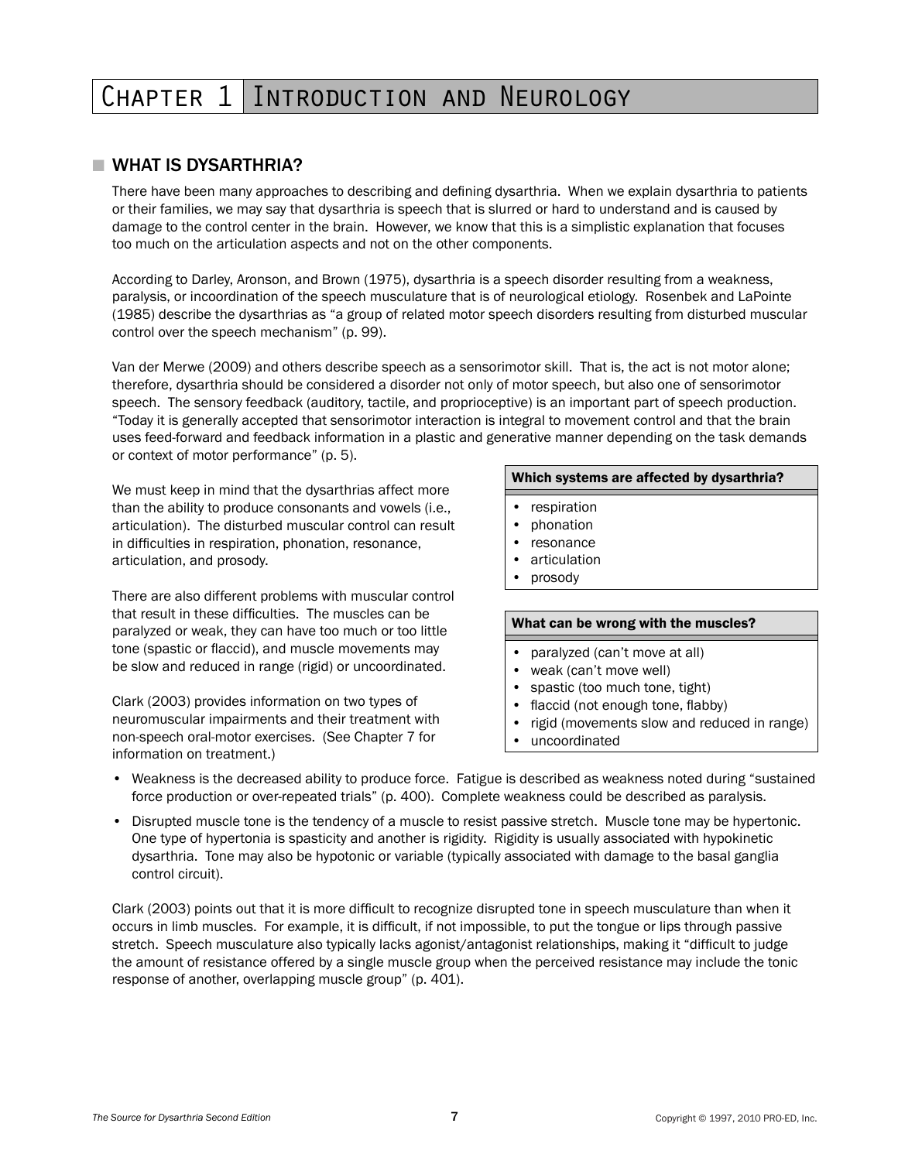## CHAPTER 1 INTRODUCTION AND NEUROLOGY

### ■ WHAT IS DYSARTHRIA?

There have been many approaches to describing and defining dysarthria. When we explain dysarthria to patients or their families, we may say that dysarthria is speech that is slurred or hard to understand and is caused by damage to the control center in the brain. However, we know that this is a simplistic explanation that focuses too much on the articulation aspects and not on the other components.

According to Darley, Aronson, and Brown (1975), dysarthria is a speech disorder resulting from a weakness, paralysis, or incoordination of the speech musculature that is of neurological etiology. Rosenbek and LaPointe (1985) describe the dysarthrias as "a group of related motor speech disorders resulting from disturbed muscular control over the speech mechanism" (p. 99).

Van der Merwe (2009) and others describe speech as a sensorimotor skill. That is, the act is not motor alone; therefore, dysarthria should be considered a disorder not only of motor speech, but also one of sensorimotor speech. The sensory feedback (auditory, tactile, and proprioceptive) is an important part of speech production. "Today it is generally accepted that sensorimotor interaction is integral to movement control and that the brain uses feed-forward and feedback information in a plastic and generative manner depending on the task demands or context of motor performance" (p. 5).

We must keep in mind that the dysarthrias affect more than the ability to produce consonants and vowels (i.e., articulation). The disturbed muscular control can result in difficulties in respiration, phonation, resonance, articulation, and prosody.

There are also different problems with muscular control that result in these difficulties. The muscles can be paralyzed or weak, they can have too much or too little tone (spastic or flaccid), and muscle movements may be slow and reduced in range (rigid) or uncoordinated.

Clark (2003) provides information on two types of neuromuscular impairments and their treatment with non-speech oral-motor exercises. (See Chapter 7 for information on treatment.)

#### Which systems are affected by dysarthria?

- • respiration
- phonation
- resonance
- articulation
- prosody

#### What can be wrong with the muscles?

- • paralyzed (can't move at all)
- • weak (can't move well)
- spastic (too much tone, tight)
- flaccid (not enough tone, flabby)
- rigid (movements slow and reduced in range)
- uncoordinated
- • Weakness is the decreased ability to produce force. Fatigue is described as weakness noted during "sustained force production or over-repeated trials" (p. 400). Complete weakness could be described as paralysis.
- • Disrupted muscle tone is the tendency of a muscle to resist passive stretch. Muscle tone may be hypertonic. One type of hypertonia is spasticity and another is rigidity. Rigidity is usually associated with hypokinetic dysarthria. Tone may also be hypotonic or variable (typically associated with damage to the basal ganglia control circuit).

Clark (2003) points out that it is more difficult to recognize disrupted tone in speech musculature than when it occurs in limb muscles. For example, it is difficult, if not impossible, to put the tongue or lips through passive stretch. Speech musculature also typically lacks agonist/antagonist relationships, making it "difficult to judge the amount of resistance offered by a single muscle group when the perceived resistance may include the tonic response of another, overlapping muscle group" (p. 401).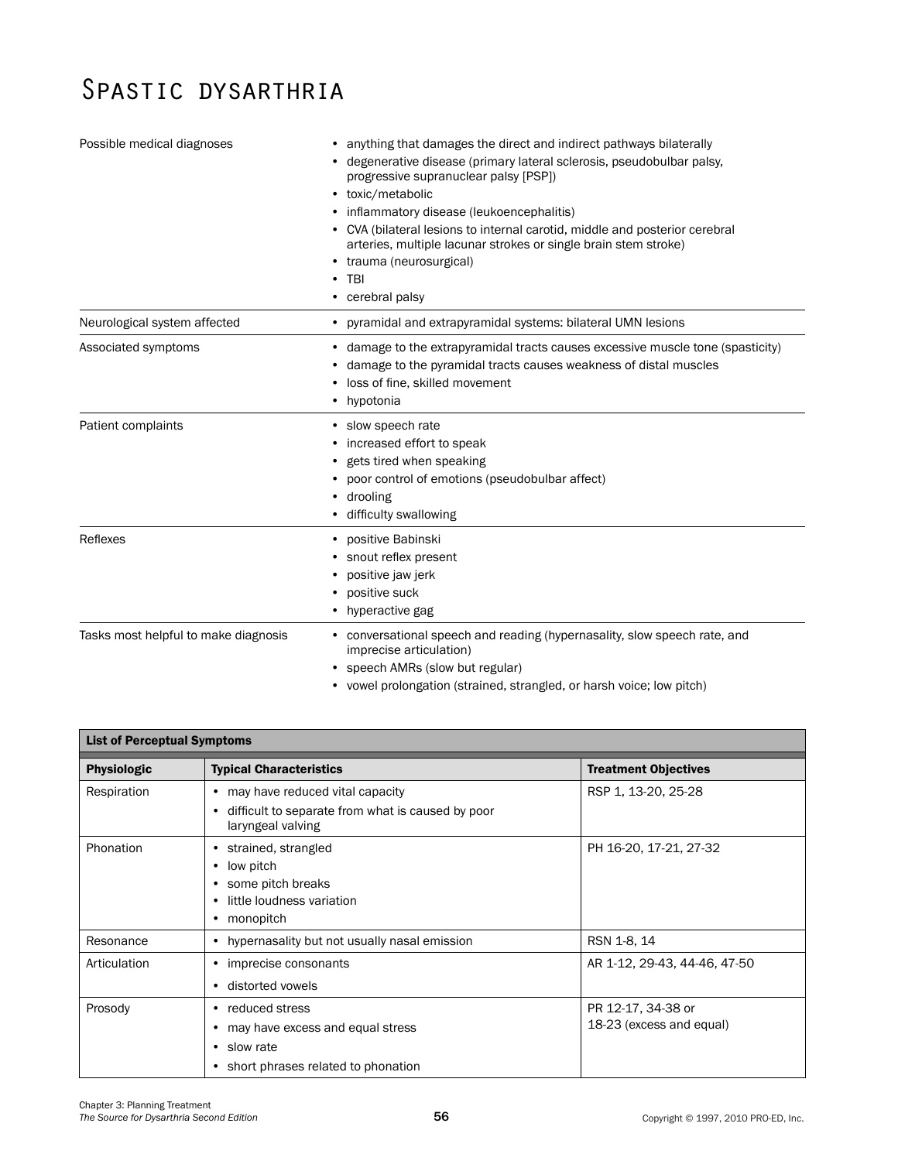# Spastic dysarthria

| Possible medical diagnoses           | • anything that damages the direct and indirect pathways bilaterally<br>• degenerative disease (primary lateral sclerosis, pseudobulbar palsy,<br>progressive supranuclear palsy [PSP])<br>• toxic/metabolic<br>• inflammatory disease (leukoencephalitis)<br>• CVA (bilateral lesions to internal carotid, middle and posterior cerebral<br>arteries, multiple lacunar strokes or single brain stem stroke)<br>• trauma (neurosurgical)<br>$\cdot$ TBI<br>• cerebral palsy |
|--------------------------------------|-----------------------------------------------------------------------------------------------------------------------------------------------------------------------------------------------------------------------------------------------------------------------------------------------------------------------------------------------------------------------------------------------------------------------------------------------------------------------------|
| Neurological system affected         | • pyramidal and extrapyramidal systems: bilateral UMN lesions                                                                                                                                                                                                                                                                                                                                                                                                               |
| Associated symptoms                  | • damage to the extrapyramidal tracts causes excessive muscle tone (spasticity)<br>damage to the pyramidal tracts causes weakness of distal muscles<br>loss of fine, skilled movement<br>• hypotonia                                                                                                                                                                                                                                                                        |
| Patient complaints                   | • slow speech rate<br>• increased effort to speak<br>• gets tired when speaking<br>• poor control of emotions (pseudobulbar affect)<br>• drooling<br>• difficulty swallowing                                                                                                                                                                                                                                                                                                |
| Reflexes                             | • positive Babinski<br>snout reflex present<br>positive jaw jerk<br>positive suck<br>• hyperactive gag                                                                                                                                                                                                                                                                                                                                                                      |
| Tasks most helpful to make diagnosis | • conversational speech and reading (hypernasality, slow speech rate, and<br>imprecise articulation)<br>speech AMRs (slow but regular)                                                                                                                                                                                                                                                                                                                                      |

|  | • vowel prolongation (strained, strangled, or harsh voice; low pitch) |  |  |  |  |  |
|--|-----------------------------------------------------------------------|--|--|--|--|--|
|--|-----------------------------------------------------------------------|--|--|--|--|--|

| <b>List of Perceptual Symptoms</b> |                                                                                                                             |                                                |  |  |  |  |
|------------------------------------|-----------------------------------------------------------------------------------------------------------------------------|------------------------------------------------|--|--|--|--|
| <b>Physiologic</b>                 | <b>Typical Characteristics</b>                                                                                              | <b>Treatment Objectives</b>                    |  |  |  |  |
| Respiration                        | may have reduced vital capacity<br>$\bullet$<br>difficult to separate from what is caused by poor<br>٠<br>laryngeal valving | RSP 1, 13-20, 25-28                            |  |  |  |  |
| Phonation                          | strained, strangled<br>٠<br>low pitch<br>٠<br>some pitch breaks<br>little loudness variation<br>٠<br>monopitch<br>٠         | PH 16-20, 17-21, 27-32                         |  |  |  |  |
| Resonance                          | • hypernasality but not usually nasal emission                                                                              | RSN 1-8, 14                                    |  |  |  |  |
| Articulation                       | imprecise consonants<br>٠<br>distorted vowels                                                                               | AR 1-12, 29-43, 44-46, 47-50                   |  |  |  |  |
| Prosody                            | reduced stress<br>٠<br>may have excess and equal stress<br>٠<br>slow rate<br>٠<br>short phrases related to phonation<br>٠   | PR 12-17, 34-38 or<br>18-23 (excess and equal) |  |  |  |  |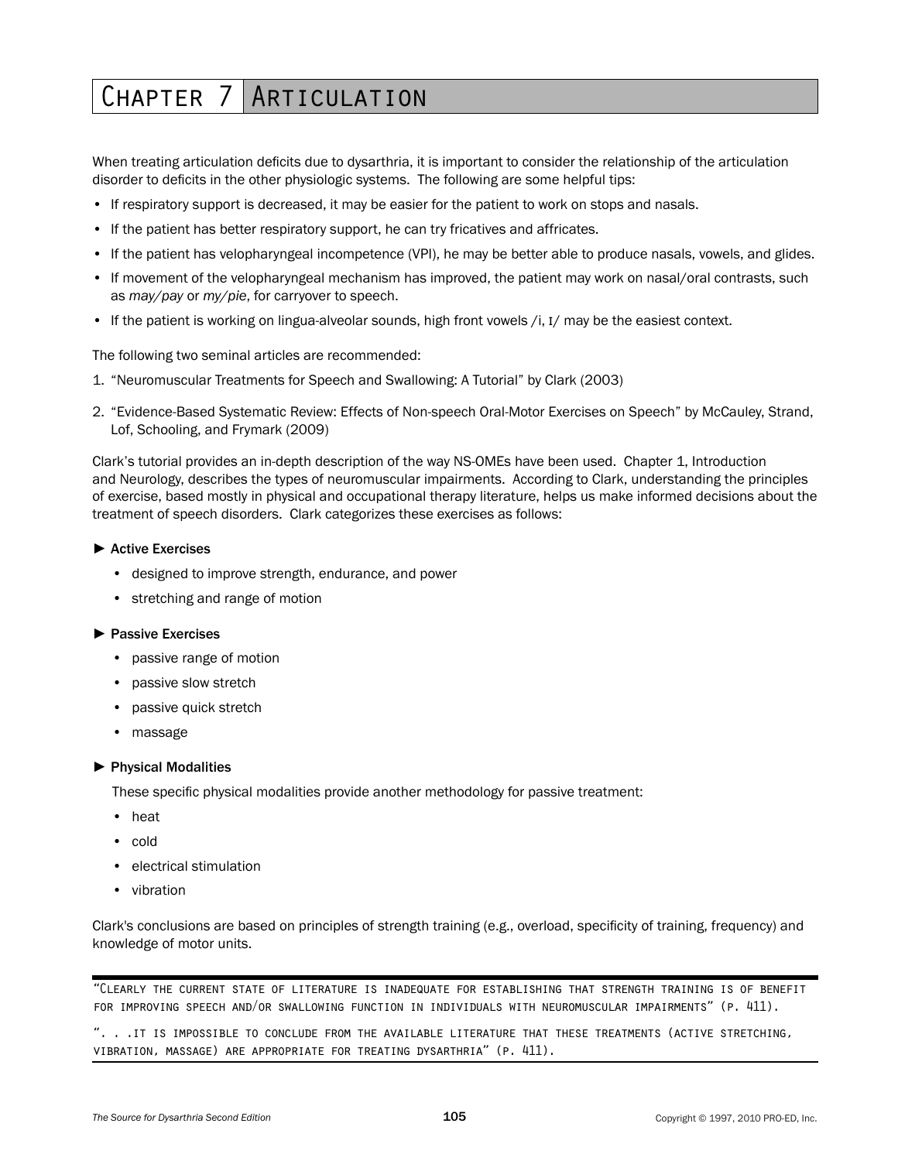## CHAPTER 7 ARTICULATION

When treating articulation deficits due to dysarthria, it is important to consider the relationship of the articulation disorder to deficits in the other physiologic systems. The following are some helpful tips:

- If respiratory support is decreased, it may be easier for the patient to work on stops and nasals.
- If the patient has better respiratory support, he can try fricatives and affricates.
- If the patient has velopharyngeal incompetence (VPI), he may be better able to produce nasals, vowels, and glides.
- If movement of the velopharyngeal mechanism has improved, the patient may work on nasal/oral contrasts, such as *may/pay* or *my/pie*, for carryover to speech.
- If the patient is working on lingua-alveolar sounds, high front vowels /i, I/ may be the easiest context.

The following two seminal articles are recommended:

- 1. "Neuromuscular Treatments for Speech and Swallowing: A Tutorial" by Clark (2003)
- 2. "Evidence-Based Systematic Review: Effects of Non-speech Oral-Motor Exercises on Speech" by McCauley, Strand, Lof, Schooling, and Frymark (2009)

Clark's tutorial provides an in-depth description of the way NS-OMEs have been used. Chapter 1, Introduction and Neurology, describes the types of neuromuscular impairments. According to Clark, understanding the principles of exercise, based mostly in physical and occupational therapy literature, helps us make informed decisions about the treatment of speech disorders. Clark categorizes these exercises as follows:

#### ► Active Exercises

- • designed to improve strength, endurance, and power
- stretching and range of motion

#### ► Passive Exercises

- passive range of motion
- passive slow stretch
- passive quick stretch
- massage

#### ► Physical Modalities

These specific physical modalities provide another methodology for passive treatment:

- • heat
- • cold
- electrical stimulation
- • vibration

Clark's conclusions are based on principles of strength training (e.g., overload, specificity of training, frequency) and knowledge of motor units.

"Clearly the current state of literature is inadequate for establishing that strength training is of benefit for improving speech and/or swallowing function in individuals with neuromuscular impairments" (p. 411).

". . .it is impossible to conclude from the available literature that these treatments (active stretching, vibration, massage) are appropriate for treating dysarthria" (p. 411).